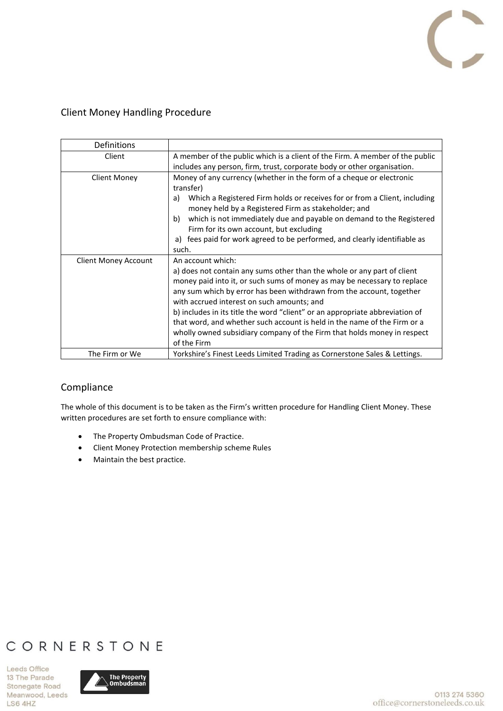

### Client Money Handling Procedure

| <b>Definitions</b>          |                                                                                                                                                                                                                                                                                                                                                                                                                                                                                                                  |
|-----------------------------|------------------------------------------------------------------------------------------------------------------------------------------------------------------------------------------------------------------------------------------------------------------------------------------------------------------------------------------------------------------------------------------------------------------------------------------------------------------------------------------------------------------|
| Client                      | A member of the public which is a client of the Firm. A member of the public                                                                                                                                                                                                                                                                                                                                                                                                                                     |
|                             | includes any person, firm, trust, corporate body or other organisation.                                                                                                                                                                                                                                                                                                                                                                                                                                          |
| <b>Client Money</b>         | Money of any currency (whether in the form of a cheque or electronic<br>transfer)<br>Which a Registered Firm holds or receives for or from a Client, including<br>a)<br>money held by a Registered Firm as stakeholder; and<br>which is not immediately due and payable on demand to the Registered<br>b)<br>Firm for its own account, but excluding<br>fees paid for work agreed to be performed, and clearly identifiable as<br>a)<br>such.                                                                    |
| <b>Client Money Account</b> | An account which:                                                                                                                                                                                                                                                                                                                                                                                                                                                                                                |
|                             | a) does not contain any sums other than the whole or any part of client<br>money paid into it, or such sums of money as may be necessary to replace<br>any sum which by error has been withdrawn from the account, together<br>with accrued interest on such amounts; and<br>b) includes in its title the word "client" or an appropriate abbreviation of<br>that word, and whether such account is held in the name of the Firm or a<br>wholly owned subsidiary company of the Firm that holds money in respect |
|                             | of the Firm                                                                                                                                                                                                                                                                                                                                                                                                                                                                                                      |
| The Firm or We              | Yorkshire's Finest Leeds Limited Trading as Cornerstone Sales & Lettings.                                                                                                                                                                                                                                                                                                                                                                                                                                        |

## Compliance

The whole of this document is to be taken as the Firm's written procedure for Handling Client Money. These written procedures are set forth to ensure compliance with:

- The Property Ombudsman Code of Practice.
- Client Money Protection membership scheme Rules
- Maintain the best practice.

# CORNERSTONE

Leeds Office 13 The Parade Stonegate Road Meanwood, Leeds LS6 4HZ

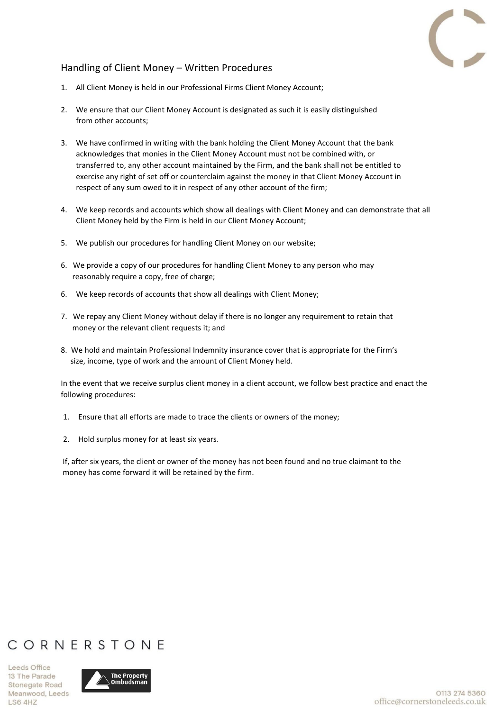

### Handling of Client Money – Written Procedures

- 1. All Client Money is held in our Professional Firms Client Money Account;
- 2. We ensure that our Client Money Account is designated as such it is easily distinguished from other accounts;
- 3. We have confirmed in writing with the bank holding the Client Money Account that the bank acknowledges that monies in the Client Money Account must not be combined with, or transferred to, any other account maintained by the Firm, and the bank shall not be entitled to exercise any right of set off or counterclaim against the money in that Client Money Account in respect of any sum owed to it in respect of any other account of the firm;
- 4. We keep records and accounts which show all dealings with Client Money and can demonstrate that all Client Money held by the Firm is held in our Client Money Account;
- 5. We publish our procedures for handling Client Money on our website;
- 6. We provide a copy of our procedures for handling Client Money to any person who may reasonably require a copy, free of charge;
- 6. We keep records of accounts that show all dealings with Client Money;
- 7. We repay any Client Money without delay if there is no longer any requirement to retain that money or the relevant client requests it; and
- 8. We hold and maintain Professional Indemnity insurance cover that is appropriate for the Firm's size, income, type of work and the amount of Client Money held.

In the event that we receive surplus client money in a client account, we follow best practice and enact the following procedures:

- 1. Ensure that all efforts are made to trace the clients or owners of the money;
- 2. Hold surplus money for at least six years.

If, after six years, the client or owner of the money has not been found and no true claimant to the money has come forward it will be retained by the firm.

## CORNERSTONE

Leeds Office 13 The Parade Stonegate Road Meanwood, Leeds LS6 4HZ